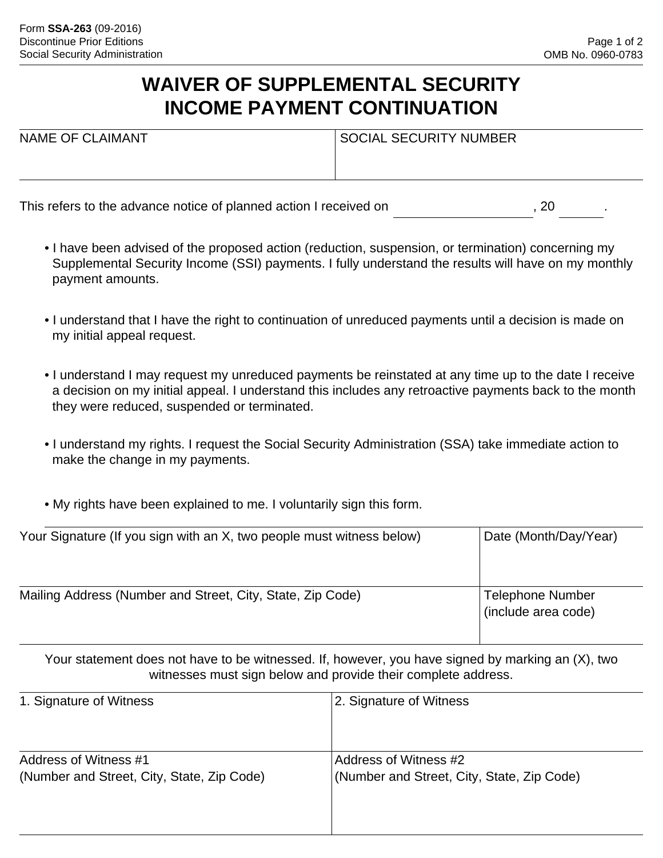## **WAIVER OF SUPPLEMENTAL SECURITY INCOME PAYMENT CONTINUATION**

| <b>NAME OF CLAIMANT</b>                                           | <b>SOCIAL SECURITY NUMBER</b> |    |  |
|-------------------------------------------------------------------|-------------------------------|----|--|
|                                                                   |                               |    |  |
| This refers to the advance notice of planned action I received on |                               | 20 |  |

- I have been advised of the proposed action (reduction, suspension, or termination) concerning my Supplemental Security Income (SSI) payments. I fully understand the results will have on my monthly payment amounts.
- I understand that I have the right to continuation of unreduced payments until a decision is made on my initial appeal request.
- I understand I may request my unreduced payments be reinstated at any time up to the date I receive a decision on my initial appeal. I understand this includes any retroactive payments back to the month they were reduced, suspended or terminated.
- I understand my rights. I request the Social Security Administration (SSA) take immediate action to make the change in my payments.
- My rights have been explained to me. I voluntarily sign this form.

| Your Signature (If you sign with an X, two people must witness below) | Date (Month/Day/Year)                          |
|-----------------------------------------------------------------------|------------------------------------------------|
| Mailing Address (Number and Street, City, State, Zip Code)            | <b>Telephone Number</b><br>(include area code) |

Your statement does not have to be witnessed. If, however, you have signed by marking an (X), two witnesses must sign below and provide their complete address.

| 1. Signature of Witness                    | 2. Signature of Witness                    |
|--------------------------------------------|--------------------------------------------|
|                                            |                                            |
| Address of Witness #1                      | Address of Witness #2                      |
| (Number and Street, City, State, Zip Code) | (Number and Street, City, State, Zip Code) |
|                                            |                                            |
|                                            |                                            |